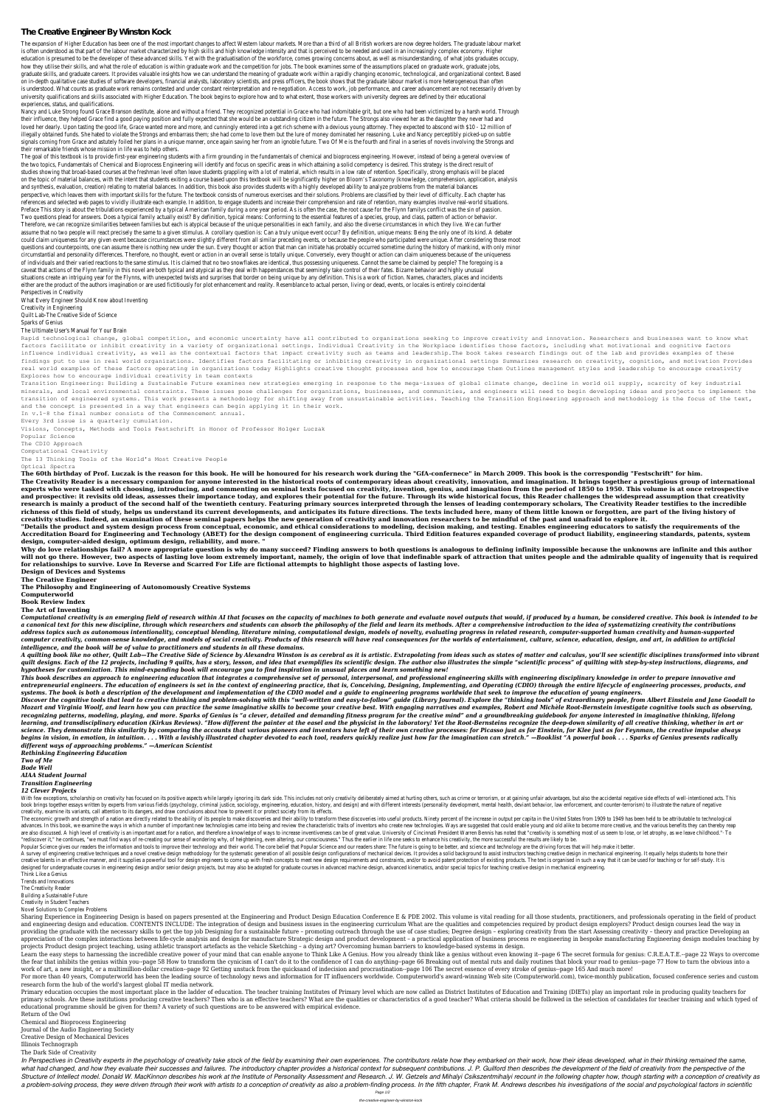## **The Creative Engineer By Winston Kock**

The expansion of Higher Education has been one of the most important changes to affect Western labour markets. More than a third of all British workers are now degree holders. The graduate labour market is often understood as that part of the labour market characterized by high skills and high knowledge intensity and that is perceived to be needed and used in an increasingly complex economy. Higher education is presumed to be the developer of these advanced skills. Yet with the graduatisation of the workforce, comes growing concerns about, as well as misunderstanding, of what jobs graduates occupy, how they utilise their skills, and what the role of education is within graduate work and the competition for jobs. The book examines some of the assumptions placed on graduate work, graduate jobs, graduate skills, and graduate careers. It provides valuable insights how we can understand the meaning of graduate work within a rapidly changing economic, technological, and organizational context. Based on in-depth qualitative case studies of software developers, financial analysts, laboratory scientists, and press officers, the book shows that the graduate labour market is more heterogeneous than often is understood. What counts as graduate work remains contested and under constant reinterpretation and re-negotiation. Access to work, job performance, and career advancement are not necessarily driven by university qualifications and skills associated with Higher Education. The book begins to explore how and to what extent, those workers with university degrees are defined by their educational experiences, status, and qualifications.

Nancy and Luke Strong found Grace Branson destitute, alone and without a friend. They recognized potential in Grace who had indomitable grit, but one who had been victimized by a harsh world. Through their influence, they helped Grace find a good paying position and fully expected that she would be an outstanding citizen in the future. The Strongs also viewed her as the daughter they never had and loved her dearly. Upon tasting the good life, Grace wanted more and more, and cunningly entered into a get rich scheme with a devious young attorney. They expected to abscond with \$10 - 12 million of illegally obtained funds. She hated to violate the Strongs and embarrass them; she had come to love them but the lure of money dominated her reasoning. Luke and Nancy perceptibly picked-up on subtle signals coming from Grace and astutely foiled her plans in a unique manner, once again saving her from an ignoble future. Two Of Me is the fourth and final in a series of novels involving the Strongs and their remarkable friends whose mission in life was to help others.

The goal of this textbook is to provide first-year engineering students with a firm grounding in the fundamentals of chemical and bioprocess engineering. However, instead of being a general overview of the two topics, Fundamentals of Chemical and Bioprocess Engineering will identify and focus on specific areas in which attaining a solid competency is desired. This strategy is the direct result of studies showing that broad-based courses at the freshman level often leave students grappling with a lot of material, which results in a low rate of retention. Specifically, strong emphasis will be placed on the topic of material balances, with the intent that students exiting a course based upon this textbook will be significantly higher on Bloom's Taxonomy (knowledge, comprehension, application, analysis and synthesis, evaluation, creation) relating to material balances. In addition, this book also provides students with a highly developed ability to analyze problems from the material balances perspective, which leaves them with important skills for the future. The textbook consists of numerous exercises and their solutions. Problems are classified by their level of difficulty. Each chapter has references and selected web pages to vividly illustrate each example. In addition, to engage students and increase their comprehension and rate of retention, many examples involve real-world situations. Preface This story is about the tribulations experienced by a typical American family during a one year period. As is often the case, the root cause for the Flynn familys conflict was the sin of passion Two questions plead for answers. Does a typical family actually exist? By definition, typical means: Conforming to the essential features of a species, group, and class, pattern of action or behavior. Therefore, we can recognize similarities between families but each is atypical because of the unique personalities in each family, and also the diverse circumstances in which they live. We can further assume that no two people will react precisely the same to a given stimulus. A corollary question is: Can a truly unique event occur? By definition, unique means: Being the only one of its kind. A debate could claim uniqueness for any given event because circumstances were slightly different from all similar preceding events, or because the people who participated were unique. After considering those moot questions and counterpoints, one can assume there is nothing new under the sun. Every thought or action that man can initiate has probably occurred sometime during the history of mankind, with only minor circumstantial and personality differences. Therefore, no thought, event or action in an overall sense is totally unique. Conversely, every thought or action can claim uniqueness because of the uniqueness of individuals and their varied reactions to the same stimulus. It is claimed that no two snowflakes are identical, thus possessing uniqueness. Cannot the same be claimed by people? The foregoing is a caveat that actions of the Flynn family in this novel are both typical and atypical as they deal with happenstances that seemingly take control of their fates. Bizarre behavior and highly unusual situations create an intriguing year for the Flynns, with unexpected twists and surprises that border on being unique by any definition. This is a work of fiction. Names, characters, places and incidents either are the product of the authors imagination or are used fictitiously for plot enhancement and reality. Resemblance to actual person, living or dead, events, or locales is entirely coincidenta Perspectives in Creativity

Computational creativity is an emerging field of research within AI that focuses on the capacity of machines to both generate and evaluate novel outputs that would, if produced by a human, be considered creative. This book a canonical text for this new discipline, through which researchers and students can absorb the philosophy of the field and learn its methods. After a comprehensive introduction to the idea of systematizing creativity the address topics such as autonomous intentionality, conceptual blending, literature mining, computational design, models of novelty, evaluating progress in related research, computer-supported human creativity and human-supp computer creativity, common-sense knowledge, and models of social creativity. Products of this research will have real consequences for the worlds of entertainment, culture, science, education, design, and art, in addition *intelligence, and the book will be of value to practitioners and students in all these domains.*

What Every Engineer Should Know about Inventing Creativity in Engineering Quilt Lab-The Creative Side of Science Sparks of Genius

A quilting book like no other, Quilt Lab—The Creative Side of Science by Alexandra Winston is as cerebral as it is artistic. Extrapolating from ideas such as states of matter and calculus, you'll see scientific disciplines quilt designs. Each of the 12 projects, including 9 quilts, has a story, lesson, and idea that exemplifies its scientific design. The author also illustrates the simple "scientific process" of quilting with step-by-step in *hypotheses for customization. This mind-expanding book will encourage you to find inspiration in unusual places and learn something new!*

## The Ultimate User's Manual for Your Brain

This book describes an approach to engineering education that integrates a comprehensive set of personal, interpersonal, and professional engineering skills with engineering disciplinary knowledge in order to prepare innov entrepreneurial engineers. The education of engineers is set in the context of engineering practice, that is, Conceiving, Designing, Implementing, and Operating (CDIO) through the entire lifecycle of engineering processes, *systems. The book is both a description of the development and implementation of the CDIO model and a guide to engineering programs worldwide that seek to improve the education of young engineers.*

Rapid technological change, global competition, and economic uncertainty have all contributed to organizations seeking to improve creativity and innovation. Researchers and businesses want to know what factors facilitate or inhibit creativity in a variety of organizational settings. Individual Creativity in the Workplace identifies those factors, including what motivational and cognitive factors influence individual creativity, as well as the contextual factors that impact creativity such as teams and leadership.The book takes research findings out of the lab and provides examples of these findings put to use in real world organizations. Identifies factors facilitating or inhibiting creativity in organizational settings Summarizes research on creativity, cognition, and motivation Provides real world examples of these factors operating in organizations today Highlights creative thought processes and how to encourage them Outlines management styles and leadership to encourage creativity Explores how to encourage individual creativity in team contexts

Discover the cognitive tools that lead to creative thinking and problem-solving with this "well-written and easy-to-follow" guide (Library Journal). Explore the "thinking tools" of extraordinary people, from Albert Einstei Mozart and Virginia Woolf, and learn how you can practice the same imaginative skills to become your creative best. With engaging narratives and examples, Robert and Michèle Root-Bernstein investigate cognitive tools such recognizing patterns, modeling, playing, and more. Sparks of Genius is "a clever, detailed and demanding fitness program for the creative mind" and a groundbreaking guidebook for anyone interested in imaginative thinking, learning, and transdisciplinary education (Kirkus Reviews). "How different the painter at the easel and the physicist in the laboratory! Yet the Root-Bernsteins recognize the deep-down similarity of all creative thinking, science. They demonstrate this similarity by comparina the accounts that various pioneers and inventors have left of their own creative processes: for Picasso just as for Einstein, for Klee just as for Feynman, the creativ begins in vision, in emotion, in intuition. . . . With a lavishly illustrated chapter devoted to each tool, readers quickly realize just how far the imagination can stretch." —Booklist "A powerful book . . . Sparks of Geni *different ways of approaching problems." —American Scientist*

Transition Engineering: Building a Sustainable Future examines new strategies emerging in response to the mega-issues of global climate change, decline in world oil supply, scarcity of key industrial minerals, and local environmental constraints. These issues pose challenges for organizations, businesses, and communities, and engineers will need to begin developing ideas and projects to implement the transition of engineered systems. This work presents a methodology for shifting away from unsustainable activities. Teaching the Transition Engineering approach and methodology is the focus of the text, and the concept is presented in a way that engineers can begin applying it in their work.

With few exceptions, scholarship on creativity has focused on its positive aspects while largely ignoring its dark side. This includes not only creativity deliberately aimed at hurting others, such as crime or terrorism, o book brings together essays written by experts from various fields (psychology, criminal justice, sociology, engineering, education, history, and design) and with different interests (personality development, mental health creativity, examine its variants, call attention to its dangers, and draw conclusions about how to prevent it or protect society from its effects.

In v.1-8 the final number consists of the Commencement annual.

Every 3rd issue is a quarterly cumulation. Visions, Concepts, Methods and Tools Festschrift in Honor of Professor Holger Luczak Popular Science The CDIO Approach Computational Creativity The 13 Thinking Tools of the World's Most Creative People Optical Spectra

**The 60th birthday of Prof. Luczak is the reason for this book. He will be honoured for his research work during the "GfA-confernece" in March 2009. This book is the correspondig "Festschrift" for him.**

The economic growth and strength of a nation are directly related to the ability of its people to make discoveries and their ability to transform these discoveries into useful products. Ninety percent of the increase in ou advances. In this book, we examine the ways in which a number of important new technologies came into being and review the characteristic traits of inventors who create new technologies. Ways are suggested that could enabl are also discussed. A high level of creativity is an important asset for a nation, and therefore a knowledge of ways to increase inventiveness can be of great value. University of Cincinnati President Warren Bennis has not "rediscover it," he continues, "we must find ways of re-creating our sense of wondering why, of heightening, even altering, our consciousness." Thus the earlier in life one seeks to enhance his creativity, the more success Popular Science gives our readers the information and tools to improve their technology and their world. The core belief that Popular Science and our readers share: The future is going to be better, and science and technol A survey of engineering creative techniques and a novel creative design methodology for the systematic generation of all possible design configurations of mechanical devices. It provides a solid background to assist instru creative talents in an effective manner, and it supplies a powerful tool for design engineers to come up with fresh concepts to meet new design requirements and constraints, and/or to avoid patent protection of existing pr designed for undergraduate courses in engineering design and/or senior design projects, but may also be adopted for graduate courses in advanced machine design, advanced kinematics, and/or special topics for teaching creat Think Like a Genius

**The Creativity Reader is a necessary companion for anyone interested in the historical roots of contemporary ideas about creativity, innovation, and imagination. It brings together a prestigious group of international experts who were tasked with choosing, introducing, and commenting on seminal texts focused on creativity, invention, genius, and imagination from the period of 1850 to 1950. This volume is at once retrospective and prospective: it revisits old ideas, assesses their importance today, and explores their potential for the future. Through its wide historical focus, this Reader challenges the widespread assumption that creativity research is mainly a product of the second half of the twentieth century. Featuring primary sources interpreted through the lenses of leading contemporary scholars, The Creativity Reader testifies to the incredible richness of this field of study, helps us understand its current developments, and anticipates its future directions. The texts included here, many of them little known or forgotten, are part of the living history of creativity studies. Indeed, an examination of these seminal papers helps the new generation of creativity and innovation researchers to be mindful of the past and unafraid to explore it.**

Sharing Experience in Engineering Design is based on papers presented at the Engineering and Product Design Education Conference E & PDE 2002. This volume is vital reading for all those students, practitioners, and profess and engineering design and education. CONTENTS INCLUDE: The integration of design and business issues in the engineering curriculum What are the qualities and competencies required by product design employers? Product desi providing the graduate with the necessary skills to get the top job Designing for a sustainable future - promoting outreach through the use of case studies; Degree design - exploring creativity from the start Assessing cre appreciation of the complex interactions between life-cycle analysis and design for manufacture Strategic design and product development – a practical application of business process re engineering in bespoke manufacturing projects Product design project teaching, using athletic transport artefacts as the vehicle Sketching – a dying art? Overcoming human barriers to knowledge-based systems in design.

Learn the easy steps to harnessing the incredible creative power of your mind that can enable anyone to Think Like A Genius. How you already think like a genius without even knowing it--page 6 The secret formula for genius the fear that inhibits the genius within you--page 58 How to transform the cynicism of I can't do it to the confidence of I can do anything--page 66 Breaking out of mental ruts and daily routines that block your road to ge work of art, a new insight, or a multimillion-dollar creation--page 92 Getting unstuck from the quicksand of indecision and procrastination--page 106 The secret essence of every stroke of genius--page 165 And much more!

**"Details the product and system design process from conceptual, economic, and ethical considerations to modeling, decision making, and testing. Enables engineering educators to satisfy the requirements of the Accreditation Board for Engineering and Technology (ABET) for the design component of engineering curricula. Third Edition features expanded coverage of product liability, engineering standards, patents, system design, computer-aided design, optimum design, reliability, and more. "**

For more than 40 years, Computerworld has been the leading source of technology news and information for IT influencers worldwide. Computerworld's award-winning Web site (Computerworld.com), twice-monthly publication, focu research form the hub of the world's largest global IT media network.

Primary education occupies the most important place in the ladder of education. The teacher training Institutes of Primary level which are now called as District Institutes of Education and Training (DIETs) play an importa primary schools. Are these institutions producing creative teachers? Then who is an effective teachers? What are the qualities or characteristics of a good teacher? What criteria should be followed in the selection of cand educational programme should be given for them? A variety of such questions are to be answered with empirical evidence.

**Why do love relationships fail? A more appropriate question is why do many succeed? Finding answers to both questions is analogous to defining infinity impossible because the unknowns are infinite and this author** will not go there. However, two aspects of lasting love loom extremely important, namely, the origin of love that indefinable spark of attraction that unites people and the admirable quality of ingenuity that is required **for relationships to survive. Love In Reverse and Scarred For Life are fictional attempts to highlight those aspects of lasting love.**

**Design of Devices and Systems**

**The Creative Engineer**

**The Philosophy and Engineering of Autonomously Creative Systems**

**Computerworld**

**Book Review Index**

**The Art of Inventing**

*Rethinking Engineering Education Two of Me Bode Well AIAA Student Journal Transition Engineering*

## *12 Clever Projects*

Trends and Innovations

The Creativity Reader

Building a Sustainable Future

Creativity in Student Teachers

Novel Solutions to Complex Problems

Return of the Owl

Chemical and Bioprocess Engineering

Journal of the Audio Engineering Society

Creative Design of Mechanical Devices

Illinois Technograph

The Dark Side of Creativity

In Perspectives in Creativity experts in the psychology of creativity take stock of the field by examining their own experiences. The contributors relate how they embarked on their work, how their ideas developed, what in what had changed, and how they evaluate their successes and failures. The introductory chapter provides a historical context for subsequent contributions. J. P. Guilford then describes the development of the field of creat Structure of Intellect model. Donald W. MacKinnon describes his work at the Institute of Personality Assessment and Research. J. W. Getzels and Mihalyi Csikszentmihalyi recount in the following chapter how, though starting a problem-solving process, they were driven through their work with artists to a conception of creativity as also a problem-finding process. In the fifth chapter, Frank M. Andrews describes his investigations of the social